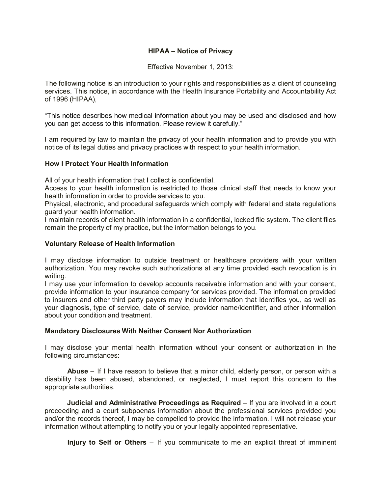# **HIPAA – Notice of Privacy**

Effective November 1, 2013:

The following notice is an introduction to your rights and responsibilities as a client of counseling services. This notice, in accordance with the Health Insurance Portability and Accountability Act of 1996 (HIPAA),

"This notice describes how medical information about you may be used and disclosed and how you can get access to this information. Please review it carefully."

I am required by law to maintain the privacy of your health information and to provide you with notice of its legal duties and privacy practices with respect to your health information.

## **How I Protect Your Health Information**

All of your health information that I collect is confidential.

Access to your health information is restricted to those clinical staff that needs to know your health information in order to provide services to you.

Physical, electronic, and procedural safeguards which comply with federal and state regulations guard your health information.

I maintain records of client health information in a confidential, locked file system. The client files remain the property of my practice, but the information belongs to you.

#### **Voluntary Release of Health Information**

I may disclose information to outside treatment or healthcare providers with your written authorization. You may revoke such authorizations at any time provided each revocation is in writing.

I may use your information to develop accounts receivable information and with your consent, provide information to your insurance company for services provided. The information provided to insurers and other third party payers may include information that identifies you, as well as your diagnosis, type of service, date of service, provider name/identifier, and other information about your condition and treatment.

#### **Mandatory Disclosures With Neither Consent Nor Authorization**

I may disclose your mental health information without your consent or authorization in the following circumstances:

**Abuse** – If I have reason to believe that a minor child, elderly person, or person with a disability has been abused, abandoned, or neglected, I must report this concern to the appropriate authorities.

**Judicial and Administrative Proceedings as Required** – If you are involved in a court proceeding and a court subpoenas information about the professional services provided you and/or the records thereof, I may be compelled to provide the information. I will not release your information without attempting to notify you or your legally appointed representative.

**Injury to Self or Others** – If you communicate to me an explicit threat of imminent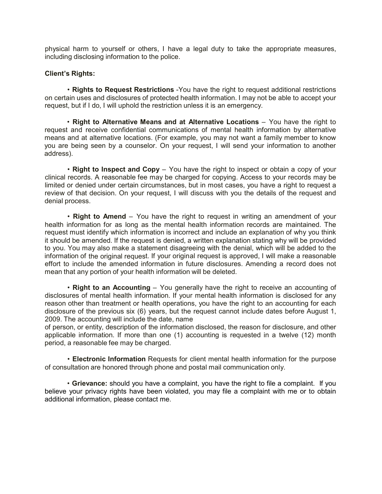physical harm to yourself or others, I have a legal duty to take the appropriate measures, including disclosing information to the police.

## **Client's Rights:**

• **Rights to Request Restrictions** -You have the right to request additional restrictions on certain uses and disclosures of protected health information. I may not be able to accept your request, but if I do, I will uphold the restriction unless it is an emergency.

• **Right to Alternative Means and at Alternative Locations** – You have the right to request and receive confidential communications of mental health information by alternative means and at alternative locations. (For example, you may not want a family member to know you are being seen by a counselor. On your request, I will send your information to another address).

• **Right to Inspect and Copy** – You have the right to inspect or obtain a copy of your clinical records. A reasonable fee may be charged for copying. Access to your records may be limited or denied under certain circumstances, but in most cases, you have a right to request a review of that decision. On your request, I will discuss with you the details of the request and denial process.

• **Right to Amend** – You have the right to request in writing an amendment of your health information for as long as the mental health information records are maintained. The request must identify which information is incorrect and include an explanation of why you think it should be amended. If the request is denied, a written explanation stating why will be provided to you. You may also make a statement disagreeing with the denial, which will be added to the information of the original request. If your original request is approved, I will make a reasonable effort to include the amended information in future disclosures. Amending a record does not mean that any portion of your health information will be deleted.

• **Right to an Accounting** – You generally have the right to receive an accounting of disclosures of mental health information. If your mental health information is disclosed for any reason other than treatment or health operations, you have the right to an accounting for each disclosure of the previous six (6) years, but the request cannot include dates before August 1, 2009. The accounting will include the date, name

of person, or entity, description of the information disclosed, the reason for disclosure, and other applicable information. If more than one (1) accounting is requested in a twelve (12) month period, a reasonable fee may be charged.

• **Electronic Information** Requests for client mental health information for the purpose of consultation are honored through phone and postal mail communication only.

• **Grievance:** should you have a complaint, you have the right to file a complaint. If you believe your privacy rights have been violated, you may file a complaint with me or to obtain additional information, please contact me.